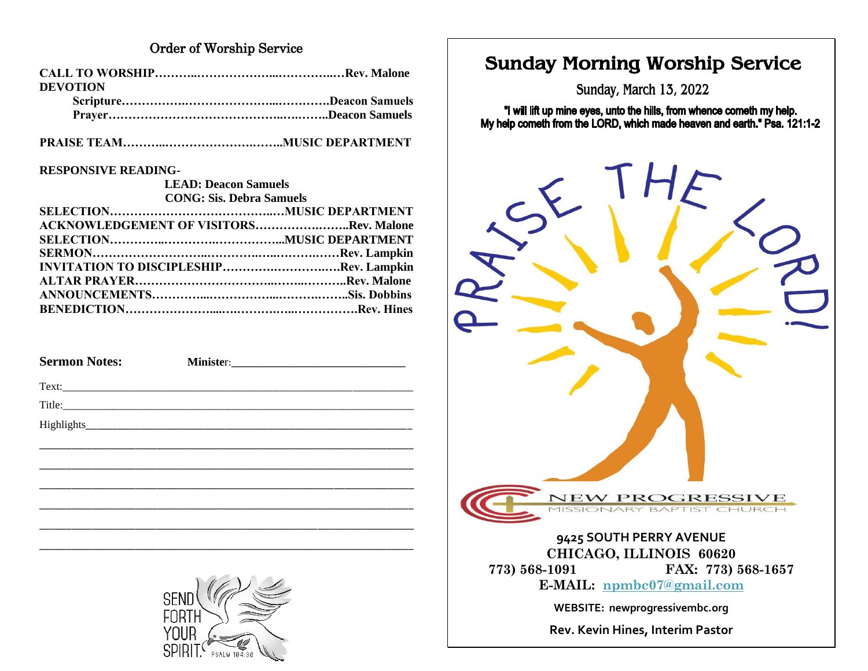### **Order of Worship Service**

| <b>DEVOTION</b> |  |
|-----------------|--|
|                 |  |
|                 |  |
|                 |  |
|                 |  |

### **RESPONSIVE READING-**

| <b>LEAD: Deacon Samuels</b>                   |  |
|-----------------------------------------------|--|
| <b>CONG: Sis. Debra Samuels</b>               |  |
|                                               |  |
| <b>ACKNOWLEDGEMENT OF VISITORSRev. Malone</b> |  |
|                                               |  |
|                                               |  |
| INVITATION TO DISCIPLESHIPRev. Lampkin        |  |
|                                               |  |
|                                               |  |
|                                               |  |
|                                               |  |

| <b>Sermon Notes:</b> |  |
|----------------------|--|
|                      |  |
|                      |  |
|                      |  |
|                      |  |
|                      |  |
|                      |  |
|                      |  |
|                      |  |
|                      |  |
|                      |  |



# **Sunday Morning Worship Service**

**Sunday, March 13, 2022**

"I will lift up mine eyes, unto the hills, from whence cometh my help. My help cometh from the LORD, which made heaven and earth." Psa. 121:1-2



**Rev. Kevin Hines, Interim Pastor**